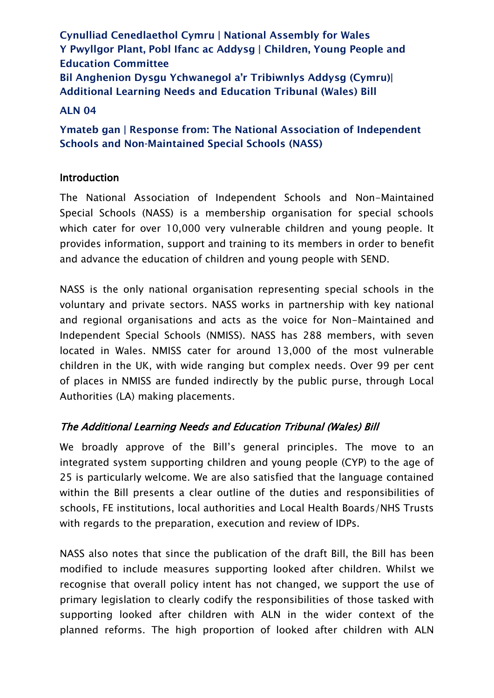**Cynulliad Cenedlaethol Cymru | National Assembly for Wales Y Pwyllgor Plant, Pobl Ifanc ac Addysg | Children, Young People and Education Committee Bil Anghenion Dysgu Ychwanegol a'r Tribiwnlys Addysg (Cymru)| Additional Learning Needs and Education Tribunal (Wales) Bill**

#### **ALN 04**

**Ymateb gan | Response from: The National Association of Independent Schools and Non-Maintained Special Schools (NASS)**

### Introduction

The National Association of Independent Schools and Non-Maintained Special Schools (NASS) is a membership organisation for special schools which cater for over 10,000 very vulnerable children and young people. It provides information, support and training to its members in order to benefit and advance the education of children and young people with SEND.

NASS is the only national organisation representing special schools in the voluntary and private sectors. NASS works in partnership with key national and regional organisations and acts as the voice for Non-Maintained and Independent Special Schools (NMISS). NASS has 288 members, with seven located in Wales. NMISS cater for around 13,000 of the most vulnerable children in the UK, with wide ranging but complex needs. Over 99 per cent of places in NMISS are funded indirectly by the public purse, through Local Authorities (LA) making placements.

# The Additional Learning Needs and Education Tribunal (Wales) Bill

We broadly approve of the Bill's general principles. The move to an integrated system supporting children and young people (CYP) to the age of 25 is particularly welcome. We are also satisfied that the language contained within the Bill presents a clear outline of the duties and responsibilities of schools, FE institutions, local authorities and Local Health Boards/NHS Trusts with regards to the preparation, execution and review of IDPs.

NASS also notes that since the publication of the draft Bill, the Bill has been modified to include measures supporting looked after children. Whilst we recognise that overall policy intent has not changed, we support the use of primary legislation to clearly codify the responsibilities of those tasked with supporting looked after children with ALN in the wider context of the planned reforms. The high proportion of looked after children with ALN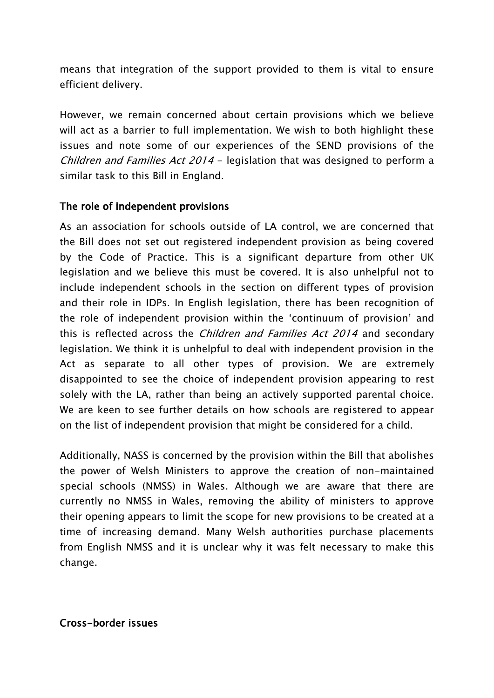means that integration of the support provided to them is vital to ensure efficient delivery.

However, we remain concerned about certain provisions which we believe will act as a barrier to full implementation. We wish to both highlight these issues and note some of our experiences of the SEND provisions of the Children and Families Act 2014 - legislation that was designed to perform a similar task to this Bill in England.

## The role of independent provisions

As an association for schools outside of LA control, we are concerned that the Bill does not set out registered independent provision as being covered by the Code of Practice. This is a significant departure from other UK legislation and we believe this must be covered. It is also unhelpful not to include independent schools in the section on different types of provision and their role in IDPs. In English legislation, there has been recognition of the role of independent provision within the 'continuum of provision' and this is reflected across the *Children and Families Act 2014* and secondary legislation. We think it is unhelpful to deal with independent provision in the Act as separate to all other types of provision. We are extremely disappointed to see the choice of independent provision appearing to rest solely with the LA, rather than being an actively supported parental choice. We are keen to see further details on how schools are registered to appear on the list of independent provision that might be considered for a child.

Additionally, NASS is concerned by the provision within the Bill that abolishes the power of Welsh Ministers to approve the creation of non-maintained special schools (NMSS) in Wales. Although we are aware that there are currently no NMSS in Wales, removing the ability of ministers to approve their opening appears to limit the scope for new provisions to be created at a time of increasing demand. Many Welsh authorities purchase placements from English NMSS and it is unclear why it was felt necessary to make this change.

Cross-border issues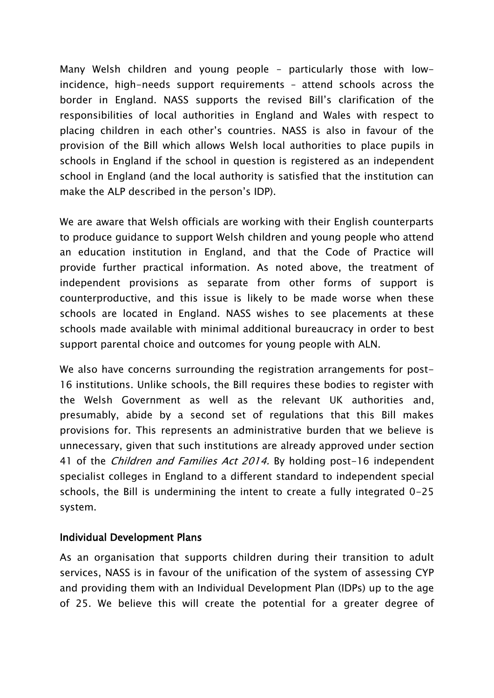Many Welsh children and young people – particularly those with lowincidence, high-needs support requirements – attend schools across the border in England. NASS supports the revised Bill's clarification of the responsibilities of local authorities in England and Wales with respect to placing children in each other's countries. NASS is also in favour of the provision of the Bill which allows Welsh local authorities to place pupils in schools in England if the school in question is registered as an independent school in England (and the local authority is satisfied that the institution can make the ALP described in the person's IDP).

We are aware that Welsh officials are working with their English counterparts to produce guidance to support Welsh children and young people who attend an education institution in England, and that the Code of Practice will provide further practical information. As noted above, the treatment of independent provisions as separate from other forms of support is counterproductive, and this issue is likely to be made worse when these schools are located in England. NASS wishes to see placements at these schools made available with minimal additional bureaucracy in order to best support parental choice and outcomes for young people with ALN.

We also have concerns surrounding the registration arrangements for post-16 institutions. Unlike schools, the Bill requires these bodies to register with the Welsh Government as well as the relevant UK authorities and, presumably, abide by a second set of regulations that this Bill makes provisions for. This represents an administrative burden that we believe is unnecessary, given that such institutions are already approved under section 41 of the Children and Families Act 2014. By holding post-16 independent specialist colleges in England to a different standard to independent special schools, the Bill is undermining the intent to create a fully integrated 0-25 system.

### Individual Development Plans

As an organisation that supports children during their transition to adult services, NASS is in favour of the unification of the system of assessing CYP and providing them with an Individual Development Plan (IDPs) up to the age of 25. We believe this will create the potential for a greater degree of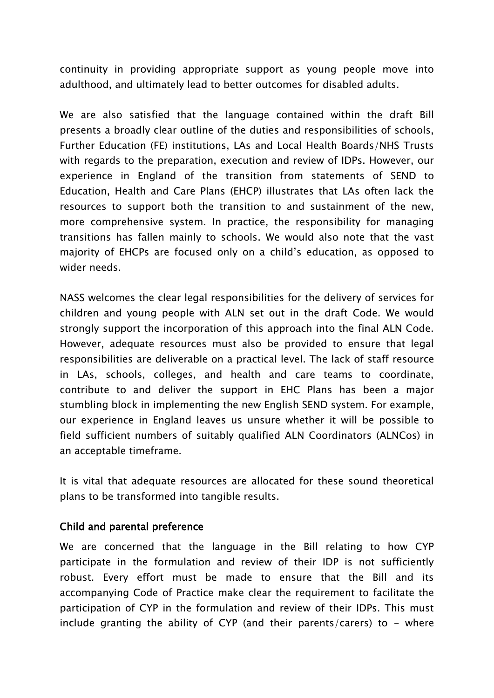continuity in providing appropriate support as young people move into adulthood, and ultimately lead to better outcomes for disabled adults.

We are also satisfied that the language contained within the draft Bill presents a broadly clear outline of the duties and responsibilities of schools, Further Education (FE) institutions, LAs and Local Health Boards/NHS Trusts with regards to the preparation, execution and review of IDPs. However, our experience in England of the transition from statements of SEND to Education, Health and Care Plans (EHCP) illustrates that LAs often lack the resources to support both the transition to and sustainment of the new, more comprehensive system. In practice, the responsibility for managing transitions has fallen mainly to schools. We would also note that the vast majority of EHCPs are focused only on a child's education, as opposed to wider needs.

NASS welcomes the clear legal responsibilities for the delivery of services for children and young people with ALN set out in the draft Code. We would strongly support the incorporation of this approach into the final ALN Code. However, adequate resources must also be provided to ensure that legal responsibilities are deliverable on a practical level. The lack of staff resource in LAs, schools, colleges, and health and care teams to coordinate, contribute to and deliver the support in EHC Plans has been a major stumbling block in implementing the new English SEND system. For example, our experience in England leaves us unsure whether it will be possible to field sufficient numbers of suitably qualified ALN Coordinators (ALNCos) in an acceptable timeframe.

It is vital that adequate resources are allocated for these sound theoretical plans to be transformed into tangible results.

### Child and parental preference

We are concerned that the language in the Bill relating to how CYP participate in the formulation and review of their IDP is not sufficiently robust. Every effort must be made to ensure that the Bill and its accompanying Code of Practice make clear the requirement to facilitate the participation of CYP in the formulation and review of their IDPs. This must include granting the ability of CYP (and their parents/carers) to  $-$  where